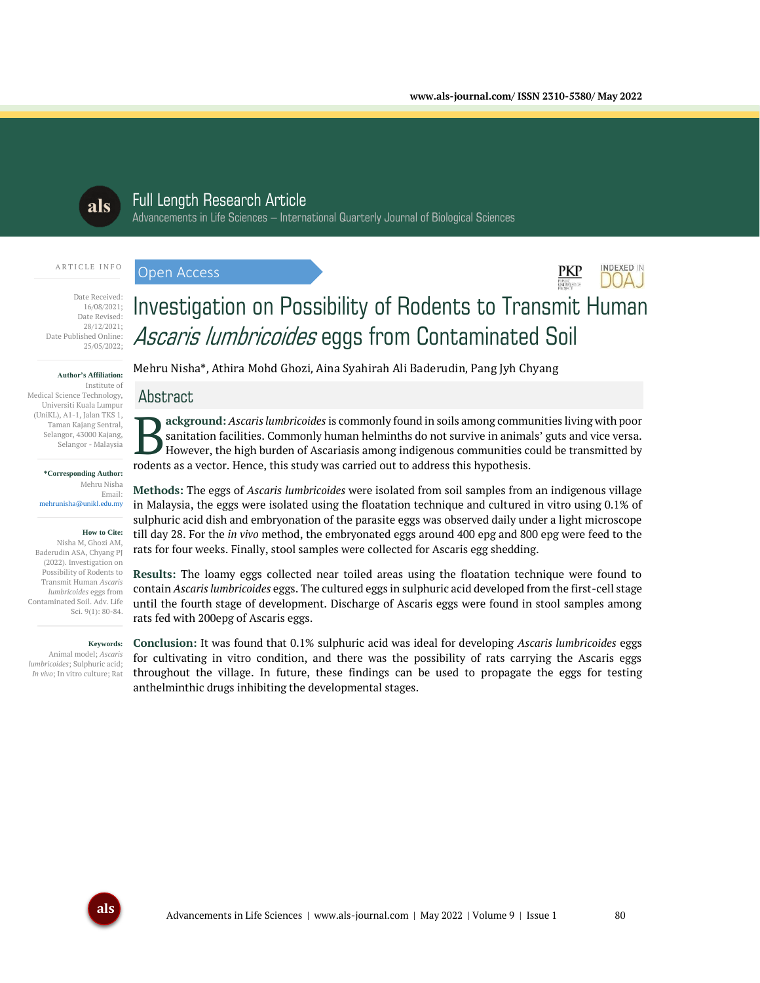$PKP$ 

**INDEXED IN** DOA J



# Full Length Research Article

Advancements in Life Sciences – International Quarterly Journal of Biological Sciences

#### ARTICLE INFO

Open Access



#### **Author's Affiliation:**

Institute of Medical Science Technology, Universiti Kuala Lumpur (UniKL), A1-1, Jalan TKS 1, Taman Kajang Sentral, Selangor, 43000 Kajang, Selangor - Malaysia

> **\*Corresponding Author:** Mehru Nisha Email: mehrunisha@unikl.edu.my

#### **How to Cite:**

Nisha M, Ghozi AM, Baderudin ASA, Chyang PJ (2022). Investigation on Possibility of Rodents to Transmit Human *Ascaris lumbricoides* eggs from Contaminated Soil. Adv. Life Sci. 9(1): 80-84.

#### **Keywords:**

Animal model; *Ascaris lumbricoides*; Sulphuric acid; *In vivo*; In vitro culture; Rat

# Investigation on Possibility of Rodents to Transmit Human Ascaris lumbricoides eggs from Contaminated Soil

Mehru Nisha\*, Athira Mohd Ghozi, Aina Syahirah Ali Baderudin, Pang Jyh Chyang

# Abstract

**ackground:** *Ascaris lumbricoides* is commonly found in soils among communities living with poor sanitation facilities. Commonly human helminths do not survive in animals' guts and vice versa. However, the high burden of Ascariasis among indigenous communities could be transmitted by **Reference** as a vector. Hence, this study was carried out to address this hypothesis. The rodents as a vector. Hence, this study was carried out to address this hypothesis.

**Methods:** The eggs of *Ascaris lumbricoides* were isolated from soil samples from an indigenous village in Malaysia, the eggs were isolated using the floatation technique and cultured in vitro using 0.1% of sulphuric acid dish and embryonation of the parasite eggs was observed daily under a light microscope till day 28. For the *in vivo* method, the embryonated eggs around 400 epg and 800 epg were feed to the rats for four weeks. Finally, stool samples were collected for Ascaris egg shedding.

**Results:** The loamy eggs collected near toiled areas using the floatation technique were found to contain *Ascaris lumbricoides* eggs. The cultured eggs in sulphuric acid developed from the first-cell stage until the fourth stage of development. Discharge of Ascaris eggs were found in stool samples among rats fed with 200epg of Ascaris eggs.

**Conclusion:** It was found that 0.1% sulphuric acid was ideal for developing *Ascaris lumbricoides* eggs for cultivating in vitro condition, and there was the possibility of rats carrying the Ascaris eggs throughout the village. In future, these findings can be used to propagate the eggs for testing anthelminthic drugs inhibiting the developmental stages.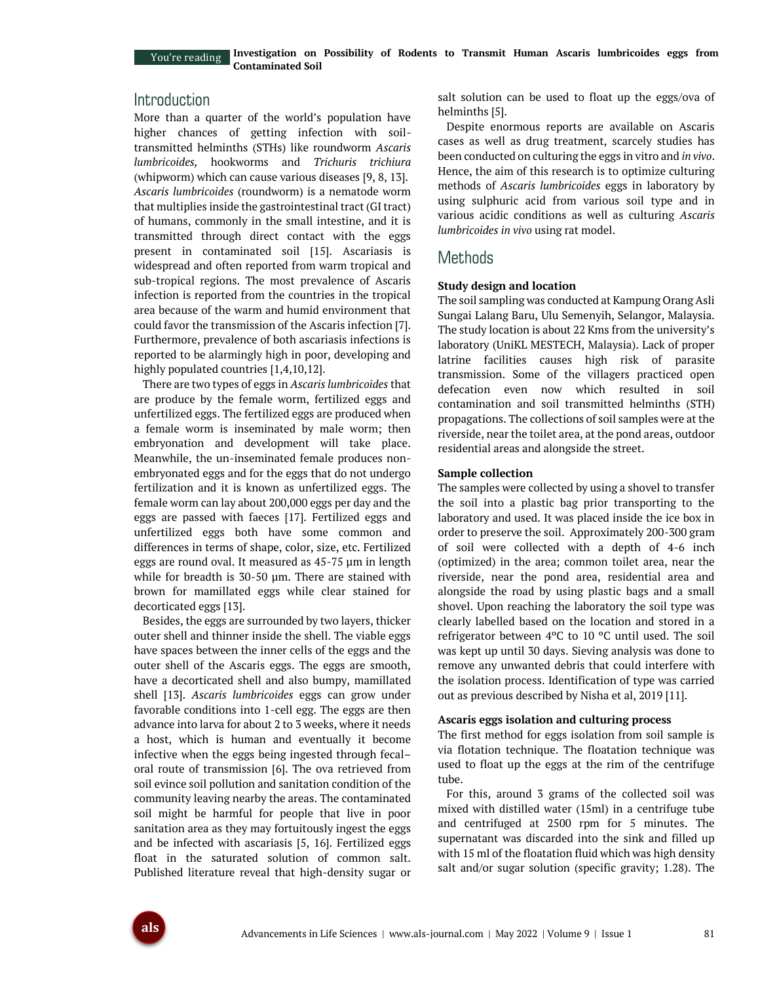# **Introduction**

More than a quarter of the world's population have higher chances of getting infection with soiltransmitted helminths (STHs) like roundworm *Ascaris lumbricoides,* hookworms and *Trichuris trichiura* (whipworm) which can cause various diseases [9, 8, 13]. *Ascaris lumbricoides* (roundworm) is a nematode worm that multiplies inside the gastrointestinal tract (GI tract) of humans, commonly in the small intestine, and it is transmitted through direct contact with the eggs present in contaminated soil [15]. Ascariasis is widespread and often reported from warm tropical and sub-tropical regions. The most prevalence of Ascaris infection is reported from the countries in the tropical area because of the warm and humid environment that could favor the transmission of the Ascaris infection [7]. Furthermore, prevalence of both ascariasis infections is reported to be alarmingly high in poor, developing and highly populated countries [1,4,10,12].

There are two types of eggs in *Ascaris lumbricoides* that are produce by the female worm, fertilized eggs and unfertilized eggs. The fertilized eggs are produced when a female worm is inseminated by male worm; then embryonation and development will take place. Meanwhile, the un-inseminated female produces nonembryonated eggs and for the eggs that do not undergo fertilization and it is known as unfertilized eggs. The female worm can lay about 200,000 eggs per day and the eggs are passed with faeces [17]. Fertilized eggs and unfertilized eggs both have some common and differences in terms of shape, color, size, etc. Fertilized eggs are round oval. It measured as 45-75 µm in length while for breadth is 30-50 µm. There are stained with brown for mamillated eggs while clear stained for decorticated eggs [13].

Besides, the eggs are surrounded by two layers, thicker outer shell and thinner inside the shell. The viable eggs have spaces between the inner cells of the eggs and the outer shell of the Ascaris eggs. The eggs are smooth, have a decorticated shell and also bumpy, mamillated shell [13]. *Ascaris lumbricoides* eggs can grow under favorable conditions into 1-cell egg. The eggs are then advance into larva for about 2 to 3 weeks, where it needs a host, which is human and eventually it become infective when the eggs being ingested through fecal– oral route of transmission [6]. The ova retrieved from soil evince soil pollution and sanitation condition of the community leaving nearby the areas. The contaminated soil might be harmful for people that live in poor sanitation area as they may fortuitously ingest the eggs and be infected with ascariasis [5, 16]. Fertilized eggs float in the saturated solution of common salt. Published literature reveal that high-density sugar or salt solution can be used to float up the eggs/ova of helminths [5].

Despite enormous reports are available on Ascaris cases as well as drug treatment, scarcely studies has been conducted on culturing the eggs in vitro and *in vivo*. Hence, the aim of this research is to optimize culturing methods of *Ascaris lumbricoides* eggs in laboratory by using sulphuric acid from various soil type and in various acidic conditions as well as culturing *Ascaris lumbricoides in vivo* using rat model.

# Methods

#### **Study design and location**

The soil sampling was conducted at Kampung Orang Asli Sungai Lalang Baru, Ulu Semenyih, Selangor, Malaysia. The study location is about 22 Kms from the university's laboratory (UniKL MESTECH, Malaysia). Lack of proper latrine facilities causes high risk of parasite transmission. Some of the villagers practiced open defecation even now which resulted in soil contamination and soil transmitted helminths (STH) propagations. The collections of soil samples were at the riverside, near the toilet area, at the pond areas, outdoor residential areas and alongside the street.

#### **Sample collection**

The samples were collected by using a shovel to transfer the soil into a plastic bag prior transporting to the laboratory and used. It was placed inside the ice box in order to preserve the soil. Approximately 200-300 gram of soil were collected with a depth of 4-6 inch (optimized) in the area; common toilet area, near the riverside, near the pond area, residential area and alongside the road by using plastic bags and a small shovel. Upon reaching the laboratory the soil type was clearly labelled based on the location and stored in a refrigerator between 4ºC to 10 ºC until used. The soil was kept up until 30 days. Sieving analysis was done to remove any unwanted debris that could interfere with the isolation process. Identification of type was carried out as previous described by Nisha et al, 2019 [11].

#### **Ascaris eggs isolation and culturing process**

The first method for eggs isolation from soil sample is via flotation technique. The floatation technique was used to float up the eggs at the rim of the centrifuge tube.

For this, around 3 grams of the collected soil was mixed with distilled water (15ml) in a centrifuge tube and centrifuged at 2500 rpm for 5 minutes. The supernatant was discarded into the sink and filled up with 15 ml of the floatation fluid which was high density salt and/or sugar solution (specific gravity; 1.28). The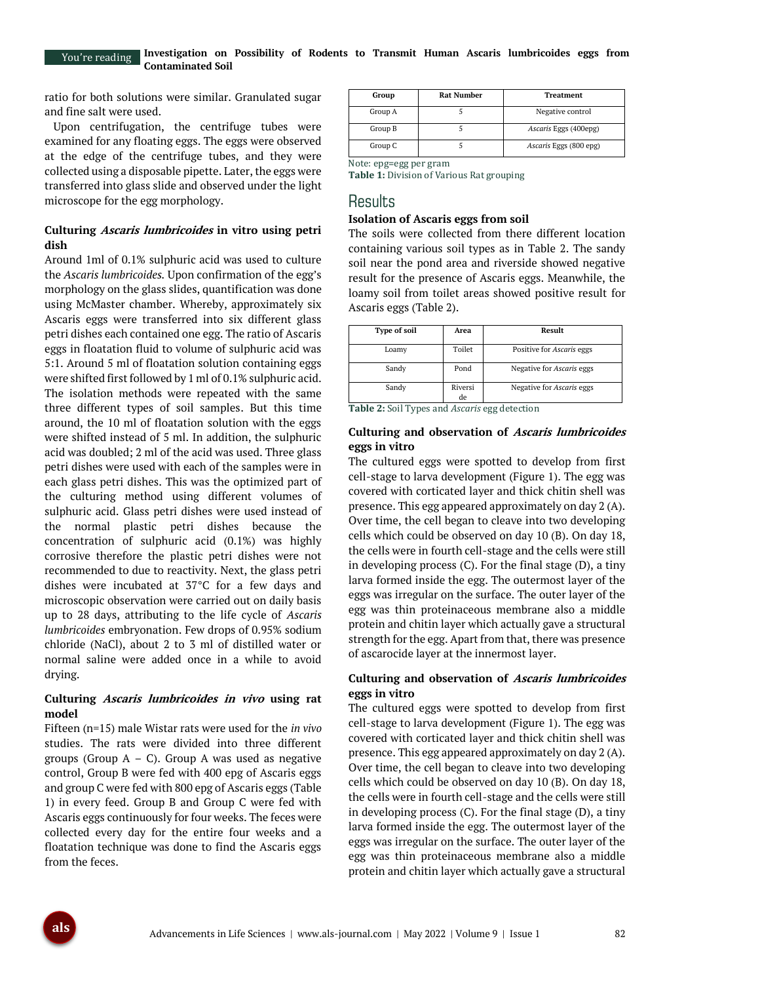ratio for both solutions were similar. Granulated sugar and fine salt were used.

Upon centrifugation, the centrifuge tubes were examined for any floating eggs. The eggs were observed at the edge of the centrifuge tubes, and they were collected using a disposable pipette. Later, the eggs were transferred into glass slide and observed under the light microscope for the egg morphology.

### **Culturing Ascaris lumbricoides in vitro using petri dish**

Around 1ml of 0.1% sulphuric acid was used to culture the *Ascaris lumbricoides.* Upon confirmation of the egg's morphology on the glass slides, quantification was done using McMaster chamber. Whereby, approximately six Ascaris eggs were transferred into six different glass petri dishes each contained one egg. The ratio of Ascaris eggs in floatation fluid to volume of sulphuric acid was 5:1. Around 5 ml of floatation solution containing eggs were shifted first followed by 1 ml of 0.1% sulphuric acid. The isolation methods were repeated with the same three different types of soil samples. But this time around, the 10 ml of floatation solution with the eggs were shifted instead of 5 ml. In addition, the sulphuric acid was doubled; 2 ml of the acid was used. Three glass petri dishes were used with each of the samples were in each glass petri dishes. This was the optimized part of the culturing method using different volumes of sulphuric acid. Glass petri dishes were used instead of the normal plastic petri dishes because the concentration of sulphuric acid (0.1%) was highly corrosive therefore the plastic petri dishes were not recommended to due to reactivity. Next, the glass petri dishes were incubated at 37°C for a few days and microscopic observation were carried out on daily basis up to 28 days, attributing to the life cycle of *Ascaris lumbricoides* embryonation. Few drops of 0.95% sodium chloride (NaCl), about 2 to 3 ml of distilled water or normal saline were added once in a while to avoid drying.

### **Culturing Ascaris lumbricoides in vivo using rat model**

Fifteen (n=15) male Wistar rats were used for the *in vivo* studies. The rats were divided into three different groups (Group  $A - C$ ). Group A was used as negative control, Group B were fed with 400 epg of Ascaris eggs and group C were fed with 800 epg of Ascaris eggs (Table 1) in every feed. Group B and Group C were fed with Ascaris eggs continuously for four weeks. The feces were collected every day for the entire four weeks and a floatation technique was done to find the Ascaris eggs from the feces.

| Group                  | <b>Rat Number</b> | <b>Treatment</b>       |
|------------------------|-------------------|------------------------|
| Group A                |                   | Negative control       |
| Group B                |                   | Ascaris Eggs (400epg)  |
| Group C                |                   | Ascaris Eggs (800 epg) |
| Note: epg=egg per gram |                   |                        |

**Table 1:** Division of Various Rat grouping

# Results

#### **Isolation of Ascaris eggs from soil**

The soils were collected from there different location containing various soil types as in Table 2. The sandy soil near the pond area and riverside showed negative result for the presence of Ascaris eggs. Meanwhile, the loamy soil from toilet areas showed positive result for Ascaris eggs (Table 2).

| Type of soil | Area          | Result                           |
|--------------|---------------|----------------------------------|
| Loamy        | Toilet        | Positive for <i>Ascaris</i> eggs |
| Sandy        | Pond          | Negative for <i>Ascaris</i> eggs |
| Sandy        | Riversi<br>de | Negative for <i>Ascaris</i> eggs |

**Table 2:** Soil Types and *Ascaris* egg detection

## **Culturing and observation of Ascaris lumbricoides eggs in vitro**

The cultured eggs were spotted to develop from first cell-stage to larva development (Figure 1). The egg was covered with corticated layer and thick chitin shell was presence. This egg appeared approximately on day 2 (A). Over time, the cell began to cleave into two developing cells which could be observed on day 10 (B). On day 18, the cells were in fourth cell-stage and the cells were still in developing process (C). For the final stage (D), a tiny larva formed inside the egg. The outermost layer of the eggs was irregular on the surface. The outer layer of the egg was thin proteinaceous membrane also a middle protein and chitin layer which actually gave a structural strength for the egg. Apart from that, there was presence of ascarocide layer at the innermost layer.

## **Culturing and observation of Ascaris lumbricoides eggs in vitro**

The cultured eggs were spotted to develop from first cell-stage to larva development (Figure 1). The egg was covered with corticated layer and thick chitin shell was presence. This egg appeared approximately on day 2 (A). Over time, the cell began to cleave into two developing cells which could be observed on day 10 (B). On day 18, the cells were in fourth cell-stage and the cells were still in developing process (C). For the final stage (D), a tiny larva formed inside the egg. The outermost layer of the eggs was irregular on the surface. The outer layer of the egg was thin proteinaceous membrane also a middle protein and chitin layer which actually gave a structural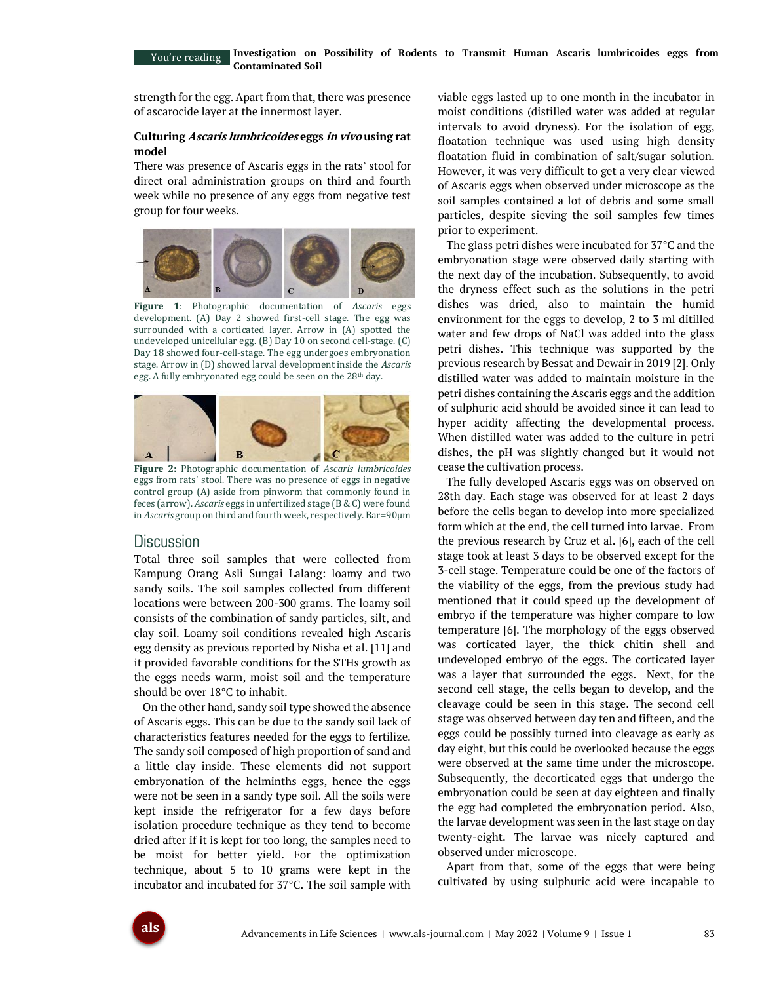#### **Investigation on Possibility of Rodents to Transmit Human Ascaris lumbricoides eggs from Contaminated Soil** You're reading

strength for the egg. Apart from that, there was presence of ascarocide layer at the innermost layer.

#### **Culturing Ascaris lumbricoides eggs in vivo using rat model**

There was presence of Ascaris eggs in the rats' stool for direct oral administration groups on third and fourth week while no presence of any eggs from negative test group for four weeks.



**Figure 1**: Photographic documentation of *Ascaris* eggs development. (A) Day 2 showed first-cell stage. The egg was surrounded with a corticated layer. Arrow in (A) spotted the undeveloped unicellular egg. (B) Day 10 on second cell-stage. (C) Day 18 showed four-cell-stage. The egg undergoes embryonation stage. Arrow in (D) showed larval development inside the *Ascaris* egg. A fully embryonated egg could be seen on the 28<sup>th</sup> day.



**Figure 2:** Photographic documentation of *Ascaris lumbricoides*  eggs from rats' stool. There was no presence of eggs in negative control group (A) aside from pinworm that commonly found in feces (arrow). *Ascaris* eggs in unfertilized stage (B & C) were found in *Ascaris* group on third and fourth week, respectively. Bar=90µm

# **Discussion**

Total three soil samples that were collected from Kampung Orang Asli Sungai Lalang: loamy and two sandy soils. The soil samples collected from different locations were between 200-300 grams. The loamy soil consists of the combination of sandy particles, silt, and clay soil. Loamy soil conditions revealed high Ascaris egg density as previous reported by Nisha et al. [11] and it provided favorable conditions for the STHs growth as the eggs needs warm, moist soil and the temperature should be over 18°C to inhabit.

On the other hand, sandy soil type showed the absence of Ascaris eggs. This can be due to the sandy soil lack of characteristics features needed for the eggs to fertilize. The sandy soil composed of high proportion of sand and a little clay inside. These elements did not support embryonation of the helminths eggs, hence the eggs were not be seen in a sandy type soil. All the soils were kept inside the refrigerator for a few days before isolation procedure technique as they tend to become dried after if it is kept for too long, the samples need to be moist for better yield. For the optimization technique, about 5 to 10 grams were kept in the incubator and incubated for 37°C. The soil sample with viable eggs lasted up to one month in the incubator in moist conditions (distilled water was added at regular intervals to avoid dryness). For the isolation of egg, floatation technique was used using high density floatation fluid in combination of salt/sugar solution. However, it was very difficult to get a very clear viewed of Ascaris eggs when observed under microscope as the soil samples contained a lot of debris and some small particles, despite sieving the soil samples few times prior to experiment.

The glass petri dishes were incubated for 37°C and the embryonation stage were observed daily starting with the next day of the incubation. Subsequently, to avoid the dryness effect such as the solutions in the petri dishes was dried, also to maintain the humid environment for the eggs to develop, 2 to 3 ml ditilled water and few drops of NaCl was added into the glass petri dishes. This technique was supported by the previous research by Bessat and Dewair in 2019 [2]. Only distilled water was added to maintain moisture in the petri dishes containing the Ascaris eggs and the addition of sulphuric acid should be avoided since it can lead to hyper acidity affecting the developmental process. When distilled water was added to the culture in petri dishes, the pH was slightly changed but it would not cease the cultivation process.

The fully developed Ascaris eggs was on observed on 28th day. Each stage was observed for at least 2 days before the cells began to develop into more specialized form which at the end, the cell turned into larvae. From the previous research by Cruz et al. [6], each of the cell stage took at least 3 days to be observed except for the 3-cell stage. Temperature could be one of the factors of the viability of the eggs, from the previous study had mentioned that it could speed up the development of embryo if the temperature was higher compare to low temperature [6]. The morphology of the eggs observed was corticated layer, the thick chitin shell and undeveloped embryo of the eggs. The corticated layer was a layer that surrounded the eggs. Next, for the second cell stage, the cells began to develop, and the cleavage could be seen in this stage. The second cell stage was observed between day ten and fifteen, and the eggs could be possibly turned into cleavage as early as day eight, but this could be overlooked because the eggs were observed at the same time under the microscope. Subsequently, the decorticated eggs that undergo the embryonation could be seen at day eighteen and finally the egg had completed the embryonation period. Also, the larvae development was seen in the last stage on day twenty-eight. The larvae was nicely captured and observed under microscope.

Apart from that, some of the eggs that were being cultivated by using sulphuric acid were incapable to